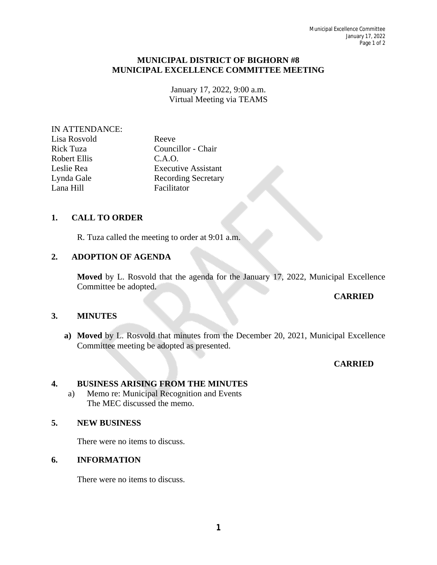#### **MUNICIPAL DISTRICT OF BIGHORN #8 MUNICIPAL EXCELLENCE COMMITTEE MEETING**

January 17, 2022, 9:00 a.m. Virtual Meeting via TEAMS

#### IN ATTENDANCE:

| Lisa Rosvold |  |
|--------------|--|
| Rick Tuza    |  |
| Robert Ellis |  |
| Leslie Rea   |  |
| Lynda Gale   |  |
| Lana Hill    |  |

Reeve Councillor - Chair  $C.A.O.$ **Executive Assistant** Recording Secretary Facilitator

# **1. CALL TO ORDER**

R. Tuza called the meeting to order at 9:01 a.m.

## **2. ADOPTION OF AGENDA**

**Moved** by L. Rosvold that the agenda for the January 17, 2022, Municipal Excellence Committee be adopted.

## **CARRIED**

## **3. MINUTES**

**a) Moved** by L. Rosvold that minutes from the December 20, 2021, Municipal Excellence Committee meeting be adopted as presented.

## **CARRIED**

#### **4. BUSINESS ARISING FROM THE MINUTES**

a) Memo re: Municipal Recognition and Events The MEC discussed the memo.

#### **5. NEW BUSINESS**

There were no items to discuss.

#### **6. INFORMATION**

There were no items to discuss.